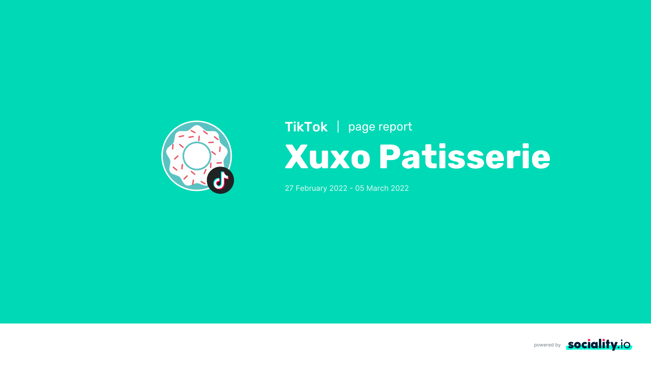





# **Xuxo Patisserie** TikTok | page report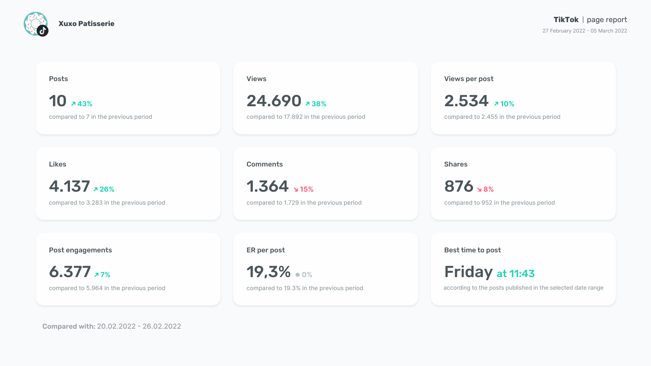according to the posts published in the selected date range



Best time to post

# Friday at 11:43

compared to 19.3% in the previous period

Compared with: 20.02.2022 - 26.02.2022

ER per post

19,3% **0%**

compared to 5.964 in the previous period

Post engagements

6.377 **7%**

compared to 952 in the previous period 876 **8%**

Shares

compared to 1.729 in the previous period

1.364 **15%**

compared to 3.283 in the previous period

Likes



compared to 2.455 in the previous period

Views per post

2.534 **10%**

compared to 17.892 in the previous period

**Comments** 

Views

24.690 **38%**

compared to 7 in the previous period



Posts

10 **743%** 

**Xuxo Patisserie TikTok** page report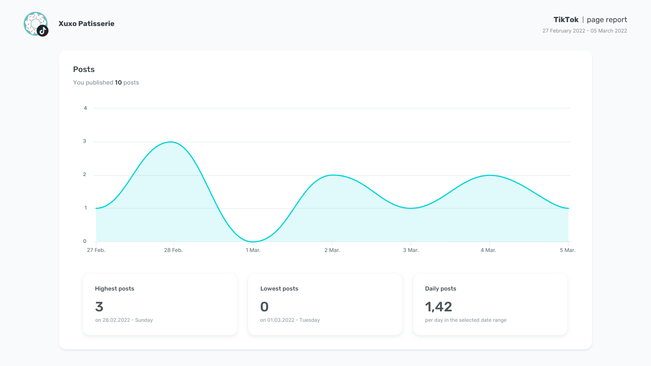





# TikTok | page report

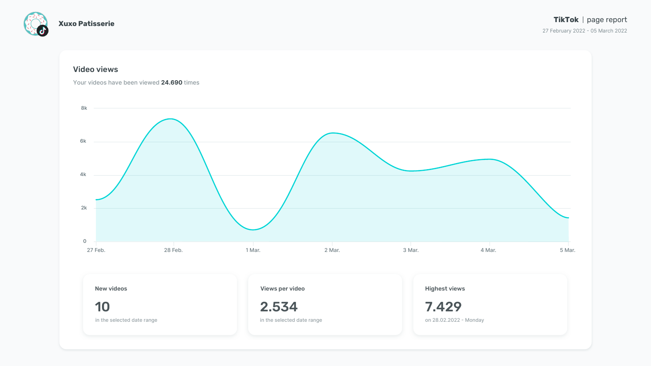





### **TikTok** | page report

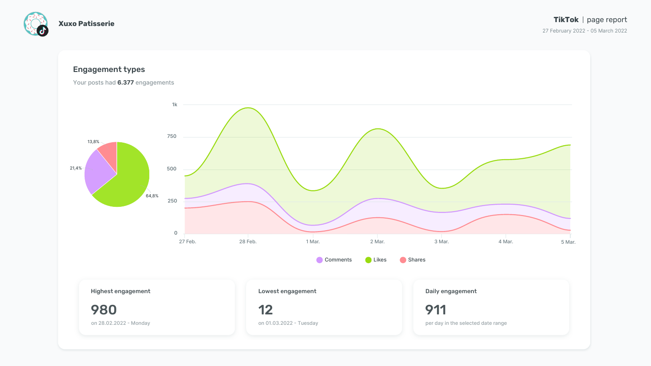



# TikTok | page report

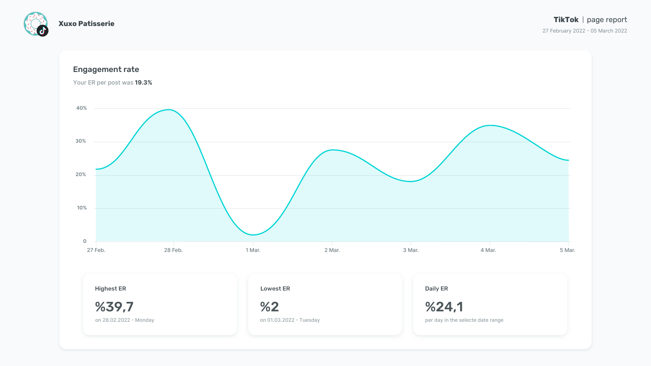



### **TikTok** | page report

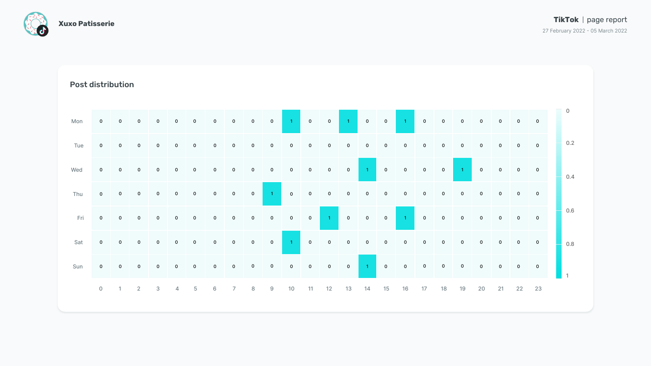

| <b>Post distribution</b> |                  |                |             |             |                |                                                               |             |                |             |                  |              |                |                |             |                  |                |                |                |             |                |             |             |             |             |     |
|--------------------------|------------------|----------------|-------------|-------------|----------------|---------------------------------------------------------------|-------------|----------------|-------------|------------------|--------------|----------------|----------------|-------------|------------------|----------------|----------------|----------------|-------------|----------------|-------------|-------------|-------------|-------------|-----|
| Mon                      |                  |                | $\mathbf 0$ | $\mathbf 0$ | $\overline{0}$ | $\mathbf 0$                                                   |             | $\overline{0}$ | $\mathbf 0$ | $\overline{0}$   |              | $\overline{0}$ | $\mathbf 0$    |             | $\overline{0}$   | $\overline{0}$ |                | $\mathbf 0$    | $\mathbf 0$ | $\mathbf 0$    |             | $\mathbf 0$ |             | $\mathbf 0$ |     |
| Tue                      |                  | $\overline{0}$ | $\mathbf 0$ | $\mathbf 0$ | $\mathbf 0$    | $\mathbf 0$                                                   |             | $\mathbf{0}$   | $\mathbf 0$ | $\overline{0}$   | $\mathbf 0$  | $\overline{0}$ | $\mathbf 0$    | $\mathbf 0$ | $\mathbf 0$      | $\mathbf 0$    | $\mathbf 0$    | $\overline{0}$ | $\mathbf 0$ | $\mathbf 0$    | $\Omega$    | $\mathbf 0$ | $\mathbf 0$ |             | 0.2 |
| Wed                      |                  |                |             |             |                |                                                               |             | $\mathbf 0$    | $\mathbf 0$ | $\boldsymbol{0}$ | $\mathbf{O}$ | $\overline{0}$ | $\overline{0}$ | $\mathbf 0$ |                  | $\mathbf 0$    | $\overline{0}$ | $\mathbf 0$    | $\mathbf 0$ |                | $\mathbf 0$ | $\mathbf 0$ | $\mathbf 0$ | $\mathbf 0$ | 0.4 |
| Thu                      |                  | $\mathbf 0$    |             |             |                |                                                               | $\mathbf 0$ | $\overline{0}$ | $\mathbf 0$ |                  | $\mathbf{0}$ | $\mathbf 0$    | $\mathbf 0$    | 0           | $\boldsymbol{0}$ | $\mathbf 0$    | $\mathbf 0$    | $\mathbf 0$    | $\mathbf 0$ | $\mathbf 0$    | $\Omega$    | $\mathbf 0$ | $\mathbf 0$ |             |     |
| Fri                      | $\boldsymbol{0}$ | $\mathbf 0$    |             | 0           |                | $\mathbf 0$                                                   |             | $\mathbf 0$    | $\mathbf 0$ | $\overline{0}$   | $\mathbf 0$  | $\mathbf 0$    |                | $\mathbf 0$ | $\overline{0}$   | $\mathbf 0$    |                | $\mathbf 0$    | $\mathbf 0$ | $\overline{0}$ |             | $\mathbf 0$ |             | $\mathbf 0$ | 0.6 |
|                          |                  |                |             |             |                |                                                               |             |                |             |                  |              |                |                |             |                  |                |                |                |             |                |             |             |             |             |     |
| Sun                      |                  |                |             |             |                |                                                               |             |                |             |                  |              |                |                |             |                  |                |                |                |             |                |             |             |             |             |     |
|                          |                  |                |             |             |                | 0 1 2 3 4 5 6 7 8 9 10 11 12 13 14 15 16 17 18 19 20 21 22 23 |             |                |             |                  |              |                |                |             |                  |                |                |                |             |                |             |             |             |             |     |

# TikTok | page report

27 February 2022 - 05 March 2022



## Post distribution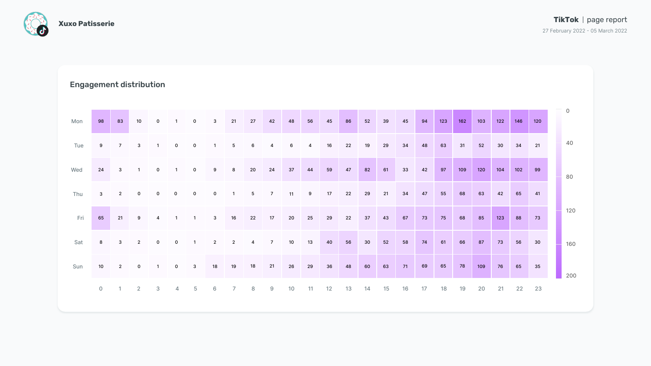

| <b>Engagement distribution</b> |                |                |                |                |                         |                 |                          |                          |                 |                |    |                |    |    |    |    |    |    |     |     |     |     |     |     |                |
|--------------------------------|----------------|----------------|----------------|----------------|-------------------------|-----------------|--------------------------|--------------------------|-----------------|----------------|----|----------------|----|----|----|----|----|----|-----|-----|-----|-----|-----|-----|----------------|
| Mon                            | 98             | 83             | 10             | $\overline{0}$ | $\overline{\mathbf{1}}$ | $\mathbf 0$     | $\mathbf{3}$             | 21                       | 27              | 42             | 48 | 56             | 45 | 86 | 52 | 39 | 45 | 94 | 123 | 162 | 103 | 122 | 146 | 120 | $\overline{0}$ |
| Tue                            | 9              | $\overline{7}$ | $\mathbf{3}$   | $\overline{1}$ | $\overline{0}$          | $\overline{0}$  | $\overline{\phantom{a}}$ | $5\overline{)}$          | $6\overline{6}$ | $\overline{4}$ | 6  | $\overline{4}$ | 16 | 22 | 19 | 29 | 34 | 48 | 63  | 31  | 52  | 30  | 34  | 21  | 40             |
| Wed                            | 24             | $\mathbf{3}$   | $\overline{1}$ | $\mathbf{O}$   | $\overline{\mathbf{1}}$ | $\overline{0}$  | 9                        | 8                        | 20              | 24             | 37 | 44             | 59 | 47 | 82 | 61 | 33 | 42 | 97  | 109 | 120 | 104 | 102 | 99  | 80             |
| Thu                            | $\mathbf{3}$   | $\overline{2}$ | $\overline{0}$ | $\mathbf{O}$   | $\overline{0}$          | $\overline{0}$  | $\overline{0}$           | $\overline{\phantom{a}}$ | $5\overline{)}$ | $\overline{7}$ | 11 | 9              | 17 | 22 | 29 | 21 | 34 | 47 | 55  | 68  | 63  | 42  | 65  | 41  |                |
| Fri                            | 65             | 21             | 9              | $\overline{4}$ | $\overline{\mathbf{1}}$ | $\overline{1}$  | $\mathbf{3}$             | 16                       | 22              | 17             | 20 | 25             | 29 | 22 | 37 | 43 | 67 | 73 | 75  | 68  | 85  | 123 | 88  | 73  | 120            |
| Sat                            | 8              | $\mathbf{3}$   | $\overline{2}$ | $\mathbf{0}$   | $\overline{0}$          | $\overline{1}$  | $\overline{2}$           | $\overline{2}$           | $\overline{4}$  | $\overline{7}$ | 10 | 13             | 40 | 56 | 30 | 52 | 58 | 74 | 61  | 66  | 87  | 73  | 56  | 30  | 160            |
| Sun                            | 10             | $\overline{2}$ | $\mathbf 0$    | $\overline{1}$ | $\overline{0}$          | $\mathbf{3}$    | 18                       | 19                       | 18              | 21             | 26 | 29             | 36 | 48 | 60 | 63 | 71 | 69 | 65  | 78  | 109 | 76  | 65  | 35  | 200            |
|                                | $\overline{O}$ | $\overline{1}$ |                | $2 \t 3$       | $\overline{4}$          | $5\overline{)}$ | 6                        | $\overline{7}$           | 8 <sup>8</sup>  | 9              | 10 | 11             | 12 | 13 | 14 | 15 | 16 | 17 | 18  | 19  | 20  | 21  | 22  | 23  |                |

# TikTok | page report

27 February 2022 - 05 March 2022



# Engagement distribution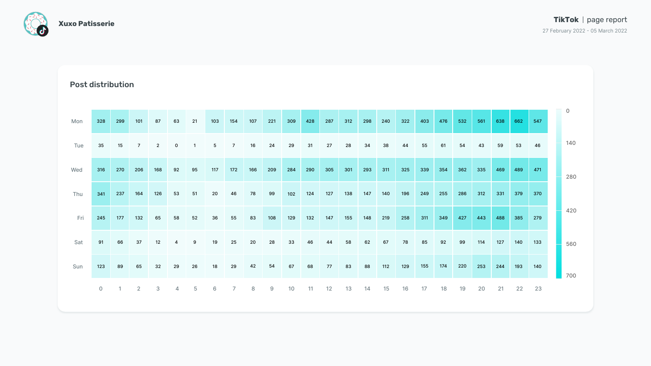

| <b>Post distribution</b> |                |          |                |                 |                |                 |                 |                |     |     |     |     |     |                    |     |     |     |     |     |                 |     |     |          |     |                |
|--------------------------|----------------|----------|----------------|-----------------|----------------|-----------------|-----------------|----------------|-----|-----|-----|-----|-----|--------------------|-----|-----|-----|-----|-----|-----------------|-----|-----|----------|-----|----------------|
| Mon                      | 328            | 299      | 101            | 87              | 63             | 21              | 103             | 154            | 107 | 221 | 309 | 428 | 287 | 312                | 298 | 240 | 322 | 403 | 476 | 532             | 561 | 638 | 662      | 547 | $\overline{0}$ |
| Tue                      | 35             | 15       | $\overline{7}$ | $2\overline{ }$ | $\overline{0}$ | $\overline{1}$  | $5\phantom{1}$  | $\overline{7}$ | 16  | 24  | 29  | 31  | 27  | 28                 | 34  | 38  | 44  | 55  | 61  | 54              | 43  | 59  | 53       | 46  | 140            |
| Wed                      | 316            | 270      | 206            | 168             | 92             | 95              | 117             | 172            | 166 | 209 | 284 | 290 | 305 | 301                | 293 | 311 | 325 | 339 | 354 | 362             | 335 | 469 | 489      | 471 | 280            |
| Thu                      | 341            | 237      | 164            | 126             | 53             | 51              | 20              | 46             | 78  | 99  | 102 | 124 | 127 | 138                | 147 | 140 | 196 | 249 | 255 | 286             | 312 | 331 | 379      | 370 |                |
| Fri                      | 245            | 177      | 132            | 65              | 58             | 52              | 36              | 55             | 83  | 108 | 129 | 132 | 147 | 155                | 148 | 219 | 258 | 311 | 349 | 427             | 443 | 488 | 385      | 279 | 420            |
| Sat                      | 91             | 66       | 37             | 12              | $\overline{4}$ | 9               | 19              | 25             | 20  | 28  | 33  | 46  | 44  | 58                 | 62  | 67  | 78  | 85  | 92  | 99              | 114 | 127 | 140      | 133 | 560            |
| Sun                      | 123            | 89       | 65             | 32              | 29             | 26              | 18              | 29             | 42  | 54  | 67  | 68  | 77  | 83                 | 88  | 112 | 129 | 155 |     | 174 220 253 244 |     |     | 193      | 140 | 700            |
|                          | $\overline{0}$ | $\sim$ 1 | $\overline{2}$ | $\mathbf{3}$    | $\overline{4}$ | $5\overline{)}$ | $6\overline{6}$ | $\overline{7}$ | 8   | 9   | 10  |     |     | 11  12  13  14  15 |     |     | 16  | 17  | 18  | 19              | 20  |     | 21 22 23 |     |                |

# TikTok | page report

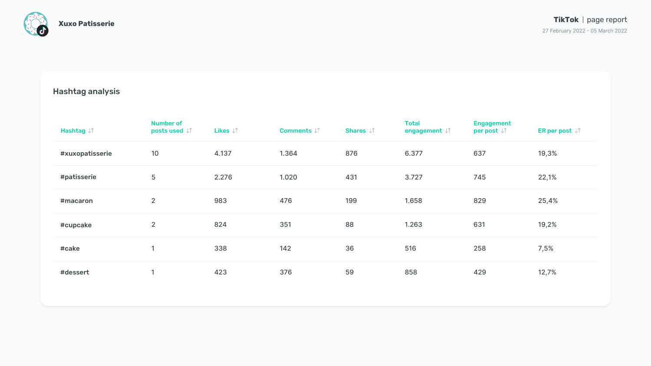

| Hashtag $\downarrow\uparrow$ | <b>Number of</b><br>posts used $\downarrow \uparrow$ | Likes $\downarrow\uparrow$ | <b>Comments JT</b> | Shares $\downarrow \uparrow$ | <b>Total</b><br>engagement $\downarrow \uparrow$ | <b>Engagement</b><br>per post $\downarrow \uparrow$ | ER per post $\downarrow \uparrow$ |
|------------------------------|------------------------------------------------------|----------------------------|--------------------|------------------------------|--------------------------------------------------|-----------------------------------------------------|-----------------------------------|
| #xuxopatisserie              | 10                                                   | 4.137                      | 1.364              | 876                          | 6.377                                            | 637                                                 | 19,3%                             |
| #patisserie                  | 5                                                    | 2.276                      | 1.020              | 431                          | 3.727                                            | 745                                                 | 22,1%                             |
| #macaron                     | 2 <sub>2</sub>                                       | 983                        | 476                | 199                          | 1.658                                            | 829                                                 | 25,4%                             |
| #cupcake                     | 2 <sup>1</sup>                                       | 824                        | 351                | 88                           | 1.263                                            | 631                                                 | 19,2%                             |
| #cake                        |                                                      | 338                        | 142                | 36                           | 516                                              | 258                                                 | 7,5%                              |
| #dessert                     |                                                      | 423                        | 376                | 59                           | 858                                              | 429                                                 | 12,7%                             |
|                              |                                                      |                            |                    |                              |                                                  |                                                     |                                   |

# **TikTok** | page report

27 February 2022 - 05 March 2022



# Hashtag analysis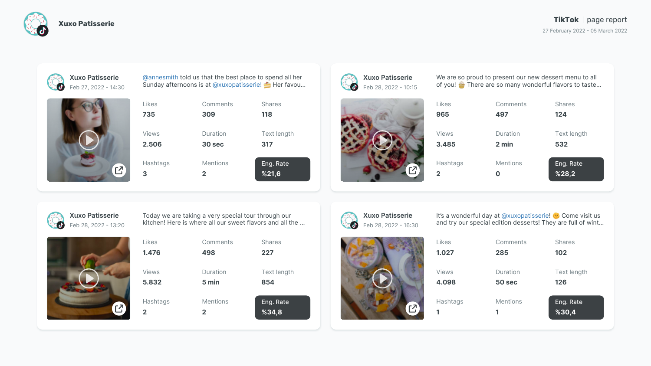



@annesmith told us that the best place to spend all her Feb 27, 2022 - 14:30 Sunday afternoons is at @xuxopatisserie! Ther favou...

| Likes           | Comments        | <b>Shares</b>      |
|-----------------|-----------------|--------------------|
| 735             | 309             | 118                |
| <b>Views</b>    | Duration        | <b>Text length</b> |
| 2.506           | 30 sec          | 317                |
| <b>Hashtags</b> | <b>Mentions</b> | Eng. Rate          |
| 3               | $\mathbf 2$     | %21,6              |



It's a wonderful day at @xuxopatisserie! Come visit us Feb 28, 2022 - 16:30 and try our special edition desserts! They are full of wint...



**Xuxo Patisserie**

 $\Sigma$ 

We are so proud to present our new dessert menu to all Feb 28, 2022 - 10:15 **of you!** There are so many wonderful flavors to taste...

| Comments        | <b>Shares</b>      |
|-----------------|--------------------|
| 285             | 102                |
|                 |                    |
| Duration        | <b>Text length</b> |
| 50 sec          | 126                |
|                 |                    |
| <b>Mentions</b> | Eng. Rate          |
| 1               | $\frac{8}{30,4}$   |
|                 |                    |



Today we are taking a very special tour through our Feb 28, 2022 - 13:20 Kitchen! Here is where all our sweet flavors and all the ...



# **Xuxo Patisserie**

| Likes           | Comments        | <b>Shares</b>      |
|-----------------|-----------------|--------------------|
| 965             | 497             | 124                |
|                 |                 |                    |
| <b>Views</b>    | Duration        | <b>Text length</b> |
| 3.485           | 2 min           | 532                |
|                 |                 |                    |
| <b>Hashtags</b> | <b>Mentions</b> | Eng. Rate          |
| $\mathbf{2}$    | O               | %28,2              |
|                 |                 |                    |



# **Xuxo Patisserie**



| <b>Likes</b>    | Comments        | <b>Shares</b>      |
|-----------------|-----------------|--------------------|
| 1.476           | 498             | 227                |
| <b>Views</b>    | Duration        | <b>Text length</b> |
| 5.832           | 5 min           | 854                |
| <b>Hashtags</b> | <b>Mentions</b> | Eng. Rate          |
| $\mathbf{2}$    | 2               | %34,8              |

### **TikTok** | page report

27 February 2022 - 05 March 2022



**Xuxo Patisserie**